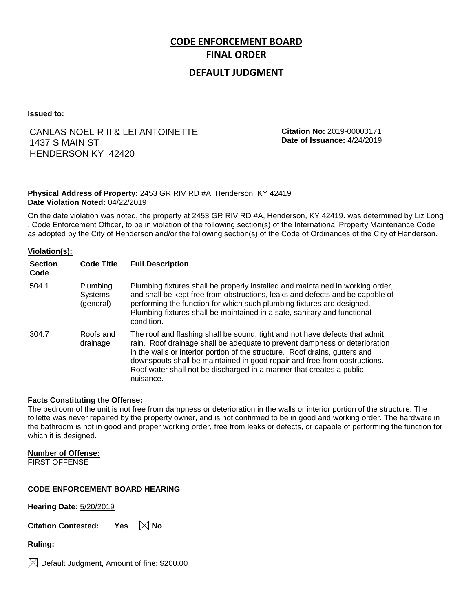# **CODE ENFORCEMENT BOARD FINAL ORDER**

# **DEFAULT JUDGMENT**

**Issued to:**

# CANLAS NOEL R II & LEI ANTOINETTE 1437 S MAIN ST HENDERSON KY 42420

**Citation No:** 2019-00000171 **Date of Issuance:** 4/24/2019

## **Physical Address of Property:** 2453 GR RIV RD #A, Henderson, KY 42419 **Date Violation Noted:** 04/22/2019

On the date violation was noted, the property at 2453 GR RIV RD #A, Henderson, KY 42419. was determined by Liz Long , Code Enforcement Officer, to be in violation of the following section(s) of the International Property Maintenance Code as adopted by the City of Henderson and/or the following section(s) of the Code of Ordinances of the City of Henderson.

## **Violation(s):**

| <b>Section</b><br>Code | <b>Code Title</b>                | <b>Full Description</b>                                                                                                                                                                                                                                                                                                                                                                                    |
|------------------------|----------------------------------|------------------------------------------------------------------------------------------------------------------------------------------------------------------------------------------------------------------------------------------------------------------------------------------------------------------------------------------------------------------------------------------------------------|
| 504.1                  | Plumbing<br>Systems<br>(general) | Plumbing fixtures shall be properly installed and maintained in working order,<br>and shall be kept free from obstructions, leaks and defects and be capable of<br>performing the function for which such plumbing fixtures are designed.<br>Plumbing fixtures shall be maintained in a safe, sanitary and functional<br>condition.                                                                        |
| 304.7                  | Roofs and<br>drainage            | The roof and flashing shall be sound, tight and not have defects that admit<br>rain. Roof drainage shall be adequate to prevent dampness or deterioration<br>in the walls or interior portion of the structure. Roof drains, gutters and<br>downspouts shall be maintained in good repair and free from obstructions.<br>Roof water shall not be discharged in a manner that creates a public<br>nuisance. |

### **Facts Constituting the Offense:**

The bedroom of the unit is not free from dampness or deterioration in the walls or interior portion of the structure. The toilette was never repaired by the property owner, and is not confirmed to be in good and working order. The hardware in the bathroom is not in good and proper working order, free from leaks or defects, or capable of performing the function for which it is designed.

### **Number of Offense:**

FIRST OFFENSE

### **CODE ENFORCEMENT BOARD HEARING**

**Hearing Date:** 5/20/2019

|  | Citation Contested: □ Yes |  | $\boxtimes$ No |
|--|---------------------------|--|----------------|
|--|---------------------------|--|----------------|

**Ruling:**

 $\boxtimes$  Default Judgment, Amount of fine: \$200.00